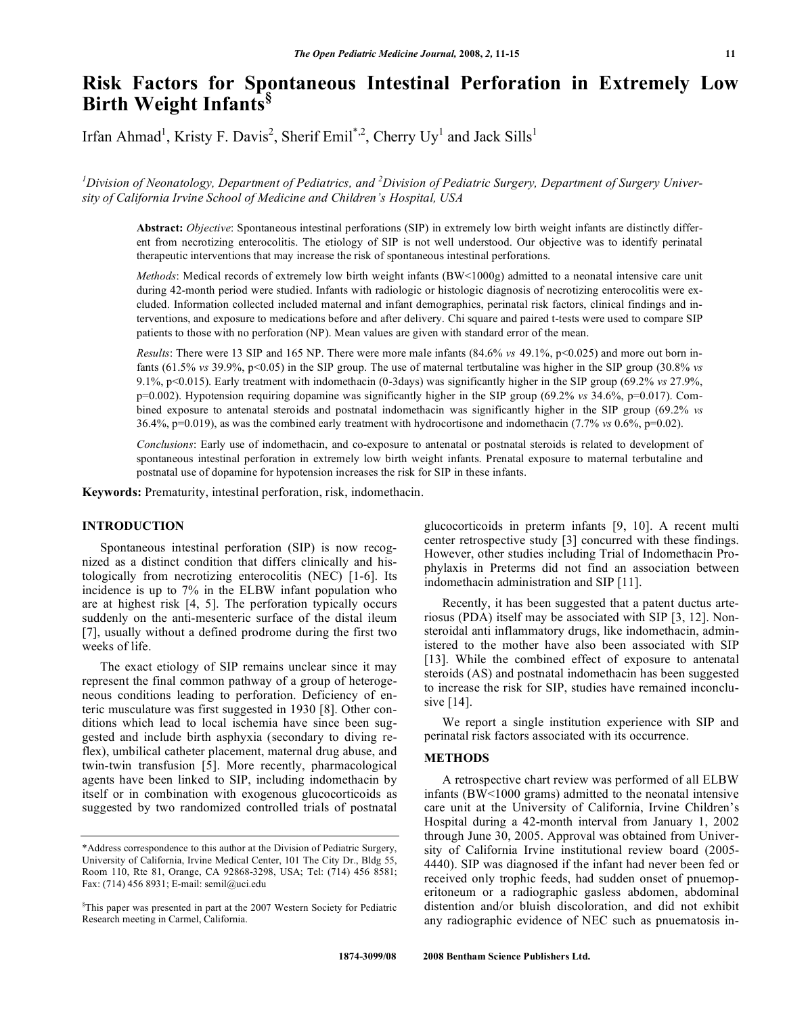# **Risk Factors for Spontaneous Intestinal Perforation in Extremely Low Birth Weight Infants§**

Irfan Ahmad<sup>1</sup>, Kristy F. Davis<sup>2</sup>, Sherif Emil<sup>\*,2</sup>, Cherry Uy<sup>1</sup> and Jack Sills<sup>1</sup>

<sup>1</sup> Division of Neonatology, Department of Pediatrics, and <sup>2</sup> Division of Pediatric Surgery, Department of Surgery Univer*sity of California Irvine School of Medicine and Children's Hospital, USA* 

**Abstract:** *Objective*: Spontaneous intestinal perforations (SIP) in extremely low birth weight infants are distinctly different from necrotizing enterocolitis. The etiology of SIP is not well understood. Our objective was to identify perinatal therapeutic interventions that may increase the risk of spontaneous intestinal perforations.

*Methods*: Medical records of extremely low birth weight infants (BW<1000g) admitted to a neonatal intensive care unit during 42-month period were studied. Infants with radiologic or histologic diagnosis of necrotizing enterocolitis were excluded. Information collected included maternal and infant demographics, perinatal risk factors, clinical findings and interventions, and exposure to medications before and after delivery. Chi square and paired t-tests were used to compare SIP patients to those with no perforation (NP). Mean values are given with standard error of the mean.

*Results*: There were 13 SIP and 165 NP. There were more male infants (84.6% *vs* 49.1%, p<0.025) and more out born infants (61.5% *vs* 39.9%, p<0.05) in the SIP group. The use of maternal tertbutaline was higher in the SIP group (30.8% *vs*  9.1%, p<0.015). Early treatment with indomethacin (0-3days) was significantly higher in the SIP group (69.2% *vs* 27.9%, p=0.002). Hypotension requiring dopamine was significantly higher in the SIP group (69.2% *vs* 34.6%, p=0.017). Combined exposure to antenatal steroids and postnatal indomethacin was significantly higher in the SIP group (69.2% *vs*  36.4%, p=0.019), as was the combined early treatment with hydrocortisone and indomethacin (7.7% *vs* 0.6%, p=0.02).

*Conclusions*: Early use of indomethacin, and co-exposure to antenatal or postnatal steroids is related to development of spontaneous intestinal perforation in extremely low birth weight infants. Prenatal exposure to maternal terbutaline and postnatal use of dopamine for hypotension increases the risk for SIP in these infants.

**Keywords:** Prematurity, intestinal perforation, risk, indomethacin.

# **INTRODUCTION**

 Spontaneous intestinal perforation (SIP) is now recognized as a distinct condition that differs clinically and histologically from necrotizing enterocolitis (NEC) [1-6]. Its incidence is up to 7% in the ELBW infant population who are at highest risk [4, 5]. The perforation typically occurs suddenly on the anti-mesenteric surface of the distal ileum [7], usually without a defined prodrome during the first two weeks of life.

 The exact etiology of SIP remains unclear since it may represent the final common pathway of a group of heterogeneous conditions leading to perforation. Deficiency of enteric musculature was first suggested in 1930 [8]. Other conditions which lead to local ischemia have since been suggested and include birth asphyxia (secondary to diving reflex), umbilical catheter placement, maternal drug abuse, and twin-twin transfusion [5]. More recently, pharmacological agents have been linked to SIP, including indomethacin by itself or in combination with exogenous glucocorticoids as suggested by two randomized controlled trials of postnatal

glucocorticoids in preterm infants [9, 10]. A recent multi center retrospective study [3] concurred with these findings. However, other studies including Trial of Indomethacin Prophylaxis in Preterms did not find an association between indomethacin administration and SIP [11].

 Recently, it has been suggested that a patent ductus arteriosus (PDA) itself may be associated with SIP [3, 12]. Nonsteroidal anti inflammatory drugs, like indomethacin, administered to the mother have also been associated with SIP [13]. While the combined effect of exposure to antenatal steroids (AS) and postnatal indomethacin has been suggested to increase the risk for SIP, studies have remained inconclusive [14].

 We report a single institution experience with SIP and perinatal risk factors associated with its occurrence.

## **METHODS**

 A retrospective chart review was performed of all ELBW infants (BW<1000 grams) admitted to the neonatal intensive care unit at the University of California, Irvine Children's Hospital during a 42-month interval from January 1, 2002 through June 30, 2005. Approval was obtained from University of California Irvine institutional review board (2005- 4440). SIP was diagnosed if the infant had never been fed or received only trophic feeds, had sudden onset of pnuemoperitoneum or a radiographic gasless abdomen, abdominal distention and/or bluish discoloration, and did not exhibit any radiographic evidence of NEC such as pnuematosis in-

<sup>\*</sup>Address correspondence to this author at the Division of Pediatric Surgery, University of California, Irvine Medical Center, 101 The City Dr., Bldg 55, Room 110, Rte 81, Orange, CA 92868-3298, USA; Tel: (714) 456 8581; Fax: (714) 456 8931; E-mail: semil@uci.edu

<sup>§</sup> This paper was presented in part at the 2007 Western Society for Pediatric Research meeting in Carmel, California.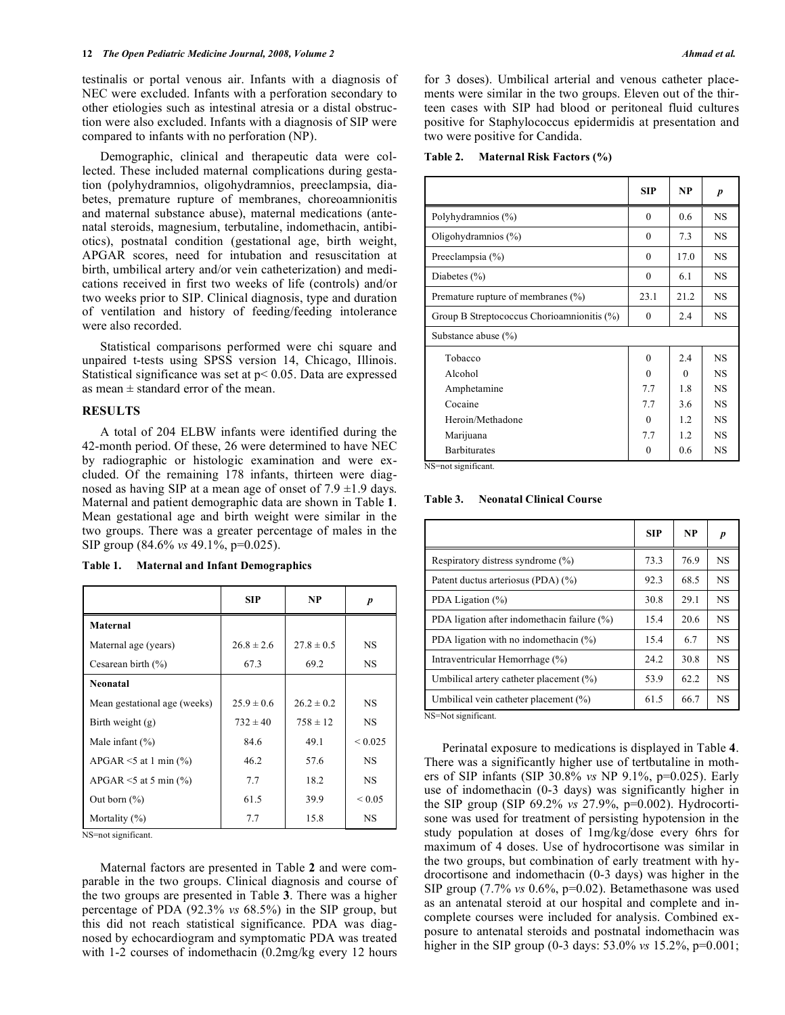testinalis or portal venous air. Infants with a diagnosis of NEC were excluded. Infants with a perforation secondary to other etiologies such as intestinal atresia or a distal obstruction were also excluded. Infants with a diagnosis of SIP were compared to infants with no perforation (NP).

 Demographic, clinical and therapeutic data were collected. These included maternal complications during gestation (polyhydramnios, oligohydramnios, preeclampsia, diabetes, premature rupture of membranes, choreoamnionitis and maternal substance abuse), maternal medications (antenatal steroids, magnesium, terbutaline, indomethacin, antibiotics), postnatal condition (gestational age, birth weight, APGAR scores, need for intubation and resuscitation at birth, umbilical artery and/or vein catheterization) and medications received in first two weeks of life (controls) and/or two weeks prior to SIP. Clinical diagnosis, type and duration of ventilation and history of feeding/feeding intolerance were also recorded.

 Statistical comparisons performed were chi square and unpaired t-tests using SPSS version 14, Chicago, Illinois. Statistical significance was set at  $p < 0.05$ . Data are expressed as mean  $\pm$  standard error of the mean.

#### **RESULTS**

 A total of 204 ELBW infants were identified during the 42-month period. Of these, 26 were determined to have NEC by radiographic or histologic examination and were excluded. Of the remaining 178 infants, thirteen were diagnosed as having SIP at a mean age of onset of  $7.9 \pm 1.9$  days. Maternal and patient demographic data are shown in Table **1**. Mean gestational age and birth weight were similar in the two groups. There was a greater percentage of males in the SIP group (84.6% *vs* 49.1%, p=0.025).

| <b>Maternal and Infant Demographics</b><br>Table 1. |  |
|-----------------------------------------------------|--|
|-----------------------------------------------------|--|

|                                | <b>SIP</b>     | <b>NP</b>      | p            |
|--------------------------------|----------------|----------------|--------------|
| Maternal                       |                |                |              |
| Maternal age (years)           | $26.8 \pm 2.6$ | $27.8 \pm 0.5$ | <b>NS</b>    |
| Cesarean birth $(\% )$         | 67.3           | 69.2           | NS.          |
| <b>Neonatal</b>                |                |                |              |
| Mean gestational age (weeks)   | $25.9 \pm 0.6$ | $26.2 \pm 0.2$ | <b>NS</b>    |
| Birth weight $(g)$             | $732 \pm 40$   | $758 \pm 12$   | <b>NS</b>    |
| Male infant $(\% )$            | 84.6           | 49.1           | ${}_{0.025}$ |
| APGAR $\le$ 5 at 1 min $(\% )$ | 46.2           | 57.6           | <b>NS</b>    |
| APGAR $\le$ 5 at 5 min $(\%$ ) | 7.7            | 18.2           | <b>NS</b>    |
| Out born $(\% )$               | 61.5           | 39.9           | ${}_{0.05}$  |
| Mortality $(\% )$              | 7.7            | 15.8           | <b>NS</b>    |

NS=not significant.

 Maternal factors are presented in Table **2** and were comparable in the two groups. Clinical diagnosis and course of the two groups are presented in Table **3**. There was a higher percentage of PDA (92.3% *vs* 68.5%) in the SIP group, but this did not reach statistical significance. PDA was diagnosed by echocardiogram and symptomatic PDA was treated with 1-2 courses of indomethacin (0.2mg/kg every 12 hours

for 3 doses). Umbilical arterial and venous catheter placements were similar in the two groups. Eleven out of the thirteen cases with SIP had blood or peritoneal fluid cultures positive for Staphylococcus epidermidis at presentation and two were positive for Candida.

**Table 2. Maternal Risk Factors (%)** 

|                                            | <b>SIP</b> | NP       | $\boldsymbol{p}$ |
|--------------------------------------------|------------|----------|------------------|
| Polyhydramnios (%)                         | $\theta$   | 0.6      | <b>NS</b>        |
| Oligohydramnios $(\%)$                     | $\theta$   | 7.3      | NS.              |
| Preeclampsia $(\% )$                       | $\theta$   | 17.0     | NS.              |
| Diabetes $(\% )$                           | $\theta$   | 6.1      | NS.              |
| Premature rupture of membranes (%)         | 23.1       | 21.2     | <b>NS</b>        |
| Group B Streptococcus Chorioamnionitis (%) | $\theta$   | 2.4      | <b>NS</b>        |
| Substance abuse (%)                        |            |          |                  |
| Tobacco                                    | $\Omega$   | 2.4      | <b>NS</b>        |
| Alcohol                                    | $\Omega$   | $\Omega$ | <b>NS</b>        |
| Amphetamine                                | 7.7        | 1.8      | <b>NS</b>        |
| Cocaine                                    | 7.7        | 3.6      | <b>NS</b>        |
| Heroin/Methadone                           | $\Omega$   | 1.2      | <b>NS</b>        |
| Marijuana                                  | 7.7        | 1.2      | <b>NS</b>        |
| <b>Barbiturates</b>                        | $\theta$   | 0.6      | <b>NS</b>        |

NS=not significant.

**Table 3. Neonatal Clinical Course** 

|                                             | <b>SIP</b> | <b>NP</b> |           |
|---------------------------------------------|------------|-----------|-----------|
| Respiratory distress syndrome (%)           | 73.3       | 76.9      | <b>NS</b> |
| Patent ductus arteriosus (PDA) (%)          | 92.3       | 68.5      | <b>NS</b> |
| PDA Ligation (%)                            | 30.8       | 29.1      | <b>NS</b> |
| PDA ligation after indomethacin failure (%) | 15.4       | 20.6      | <b>NS</b> |
| PDA ligation with no indomethacin $(\%)$    | 15.4       | 6.7       | <b>NS</b> |
| Intraventricular Hemorrhage (%)             | 24.2       | 30.8      | <b>NS</b> |
| Umbilical artery catheter placement (%)     | 53.9       | 62.2      | <b>NS</b> |
| Umbilical vein catheter placement (%)       | 61.5       | 66.7      | <b>NS</b> |
| NS=Not sionificant                          |            |           |           |

NS=Not significant.

 Perinatal exposure to medications is displayed in Table **4**. There was a significantly higher use of tertbutaline in mothers of SIP infants (SIP 30.8% *vs* NP 9.1%, p=0.025). Early use of indomethacin (0-3 days) was significantly higher in the SIP group (SIP 69.2% *vs* 27.9%, p=0.002). Hydrocortisone was used for treatment of persisting hypotension in the study population at doses of 1mg/kg/dose every 6hrs for maximum of 4 doses. Use of hydrocortisone was similar in the two groups, but combination of early treatment with hydrocortisone and indomethacin (0-3 days) was higher in the SIP group (7.7% *vs* 0.6%, p=0.02). Betamethasone was used as an antenatal steroid at our hospital and complete and incomplete courses were included for analysis. Combined exposure to antenatal steroids and postnatal indomethacin was higher in the SIP group (0-3 days: 53.0% *vs* 15.2%, p=0.001;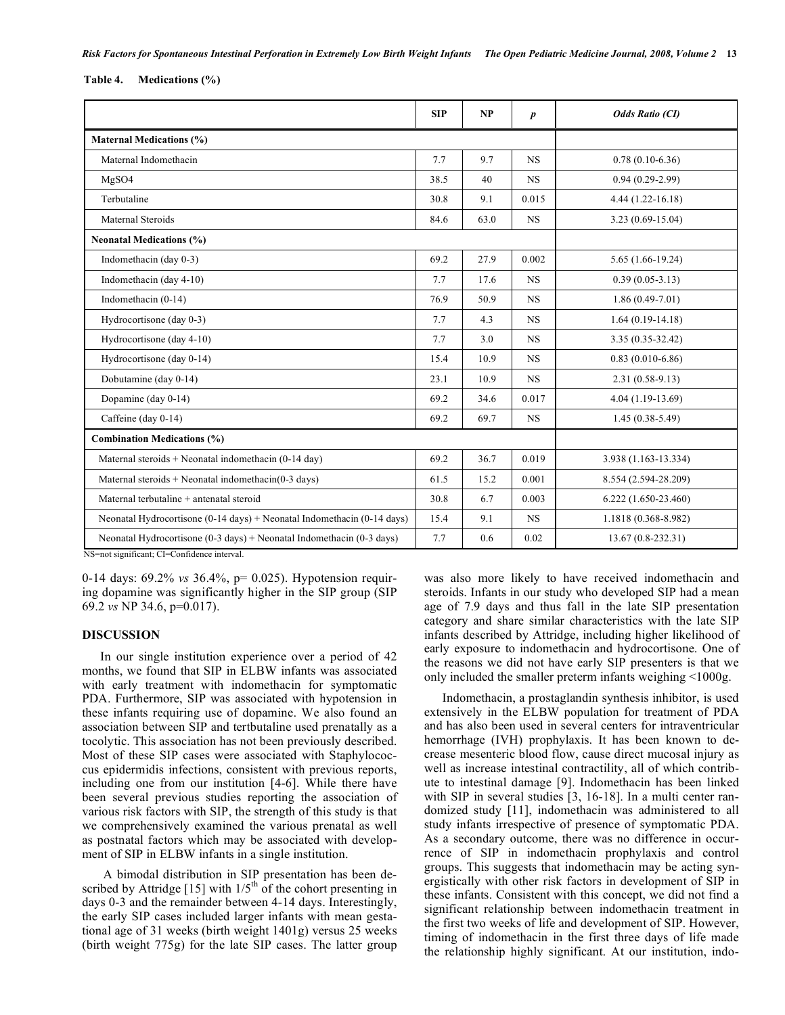**Table 4. Medications (%)** 

|                                                                                             | <b>SIP</b> | NP   | $\boldsymbol{p}$ | <b>Odds Ratio (CI)</b> |
|---------------------------------------------------------------------------------------------|------------|------|------------------|------------------------|
| <b>Maternal Medications (%)</b>                                                             |            |      |                  |                        |
| Maternal Indomethacin                                                                       | 7.7        | 9.7  | <b>NS</b>        | $0.78(0.10-6.36)$      |
| MgSO4                                                                                       | 38.5       | 40   | <b>NS</b>        | $0.94(0.29-2.99)$      |
| Terbutaline                                                                                 | 30.8       | 9.1  | 0.015            | $4.44(1.22 - 16.18)$   |
| <b>Maternal Steroids</b>                                                                    | 84.6       | 63.0 | <b>NS</b>        | $3.23(0.69-15.04)$     |
| <b>Neonatal Medications (%)</b>                                                             |            |      |                  |                        |
| Indomethacin (day 0-3)                                                                      | 69.2       | 27.9 | 0.002            | $5.65(1.66-19.24)$     |
| Indomethacin (day 4-10)                                                                     | 7.7        | 17.6 | <b>NS</b>        | $0.39(0.05-3.13)$      |
| Indomethacin $(0-14)$                                                                       | 76.9       | 50.9 | <b>NS</b>        | $1.86(0.49-7.01)$      |
| Hydrocortisone (day 0-3)                                                                    | 7.7        | 4.3  | $_{\rm NS}$      | $1.64(0.19-14.18)$     |
| Hydrocortisone (day 4-10)                                                                   | 7.7        | 3.0  | <b>NS</b>        | 3.35 (0.35-32.42)      |
| Hydrocortisone (day 0-14)                                                                   | 15.4       | 10.9 | <b>NS</b>        | $0.83(0.010-6.86)$     |
| Dobutamine (day 0-14)                                                                       | 23.1       | 10.9 | $_{\rm NS}$      | $2.31(0.58-9.13)$      |
| Dopamine (day $0-14$ )                                                                      | 69.2       | 34.6 | 0.017            | $4.04(1.19-13.69)$     |
| Caffeine (day 0-14)                                                                         | 69.2       | 69.7 | <b>NS</b>        | $1.45(0.38 - 5.49)$    |
| <b>Combination Medications (%)</b>                                                          |            |      |                  |                        |
| Maternal steroids + Neonatal indomethacin $(0-14 \text{ day})$                              | 69.2       | 36.7 | 0.019            | 3.938 (1.163-13.334)   |
| Maternal steroids + Neonatal indomethacin( $0-3$ days)                                      | 61.5       | 15.2 | 0.001            | 8.554 (2.594-28.209)   |
| Maternal terbutaline + antenatal steroid                                                    | 30.8       | 6.7  | 0.003            | $6.222(1.650-23.460)$  |
| Neonatal Hydrocortisone $(0-14 \text{ days})$ + Neonatal Indomethacin $(0-14 \text{ days})$ | 15.4       | 9.1  | NS.              | 1.1818 (0.368-8.982)   |
| Neonatal Hydrocortisone $(0-3 \text{ days})$ + Neonatal Indomethacin $(0-3 \text{ days})$   | 7.7        | 0.6  | 0.02             | $13.67(0.8-232.31)$    |

NS=not significant; CI=Confidence interval.

0-14 days: 69.2% *vs* 36.4%, p= 0.025). Hypotension requiring dopamine was significantly higher in the SIP group (SIP 69.2 *vs* NP 34.6, p=0.017).

#### **DISCUSSION**

 In our single institution experience over a period of 42 months, we found that SIP in ELBW infants was associated with early treatment with indomethacin for symptomatic PDA. Furthermore, SIP was associated with hypotension in these infants requiring use of dopamine. We also found an association between SIP and tertbutaline used prenatally as a tocolytic. This association has not been previously described. Most of these SIP cases were associated with Staphylococcus epidermidis infections, consistent with previous reports, including one from our institution [4-6]. While there have been several previous studies reporting the association of various risk factors with SIP, the strength of this study is that we comprehensively examined the various prenatal as well as postnatal factors which may be associated with development of SIP in ELBW infants in a single institution.

 A bimodal distribution in SIP presentation has been described by Attridge [15] with  $1/5<sup>th</sup>$  of the cohort presenting in days 0-3 and the remainder between 4-14 days. Interestingly, the early SIP cases included larger infants with mean gestational age of 31 weeks (birth weight 1401g) versus 25 weeks (birth weight 775g) for the late SIP cases. The latter group was also more likely to have received indomethacin and steroids. Infants in our study who developed SIP had a mean age of 7.9 days and thus fall in the late SIP presentation category and share similar characteristics with the late SIP infants described by Attridge, including higher likelihood of early exposure to indomethacin and hydrocortisone. One of the reasons we did not have early SIP presenters is that we only included the smaller preterm infants weighing <1000g.

 Indomethacin, a prostaglandin synthesis inhibitor, is used extensively in the ELBW population for treatment of PDA and has also been used in several centers for intraventricular hemorrhage (IVH) prophylaxis. It has been known to decrease mesenteric blood flow, cause direct mucosal injury as well as increase intestinal contractility, all of which contribute to intestinal damage [9]. Indomethacin has been linked with SIP in several studies [3, 16-18]. In a multi center randomized study [11], indomethacin was administered to all study infants irrespective of presence of symptomatic PDA. As a secondary outcome, there was no difference in occurrence of SIP in indomethacin prophylaxis and control groups. This suggests that indomethacin may be acting synergistically with other risk factors in development of SIP in these infants. Consistent with this concept, we did not find a significant relationship between indomethacin treatment in the first two weeks of life and development of SIP. However, timing of indomethacin in the first three days of life made the relationship highly significant. At our institution, indo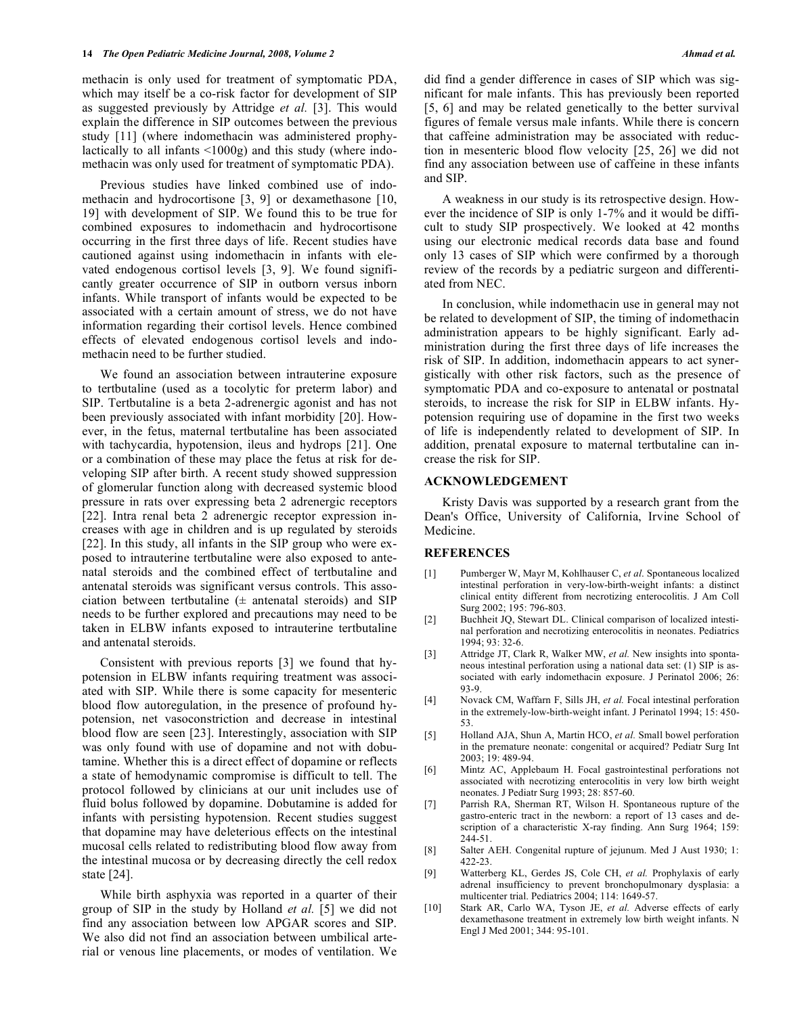methacin is only used for treatment of symptomatic PDA, which may itself be a co-risk factor for development of SIP as suggested previously by Attridge *et al.* [3]. This would explain the difference in SIP outcomes between the previous study [11] (where indomethacin was administered prophylactically to all infants <1000g) and this study (where indomethacin was only used for treatment of symptomatic PDA).

 Previous studies have linked combined use of indomethacin and hydrocortisone [3, 9] or dexamethasone [10, 19] with development of SIP. We found this to be true for combined exposures to indomethacin and hydrocortisone occurring in the first three days of life. Recent studies have cautioned against using indomethacin in infants with elevated endogenous cortisol levels [3, 9]. We found significantly greater occurrence of SIP in outborn versus inborn infants. While transport of infants would be expected to be associated with a certain amount of stress, we do not have information regarding their cortisol levels. Hence combined effects of elevated endogenous cortisol levels and indomethacin need to be further studied.

 We found an association between intrauterine exposure to tertbutaline (used as a tocolytic for preterm labor) and SIP. Tertbutaline is a beta 2-adrenergic agonist and has not been previously associated with infant morbidity [20]. However, in the fetus, maternal tertbutaline has been associated with tachycardia, hypotension, ileus and hydrops [21]. One or a combination of these may place the fetus at risk for developing SIP after birth. A recent study showed suppression of glomerular function along with decreased systemic blood pressure in rats over expressing beta 2 adrenergic receptors [22]. Intra renal beta 2 adrenergic receptor expression increases with age in children and is up regulated by steroids [22]. In this study, all infants in the SIP group who were exposed to intrauterine tertbutaline were also exposed to antenatal steroids and the combined effect of tertbutaline and antenatal steroids was significant versus controls. This association between tertbutaline  $(\pm$  antenatal steroids) and SIP needs to be further explored and precautions may need to be taken in ELBW infants exposed to intrauterine tertbutaline and antenatal steroids.

 Consistent with previous reports [3] we found that hypotension in ELBW infants requiring treatment was associated with SIP. While there is some capacity for mesenteric blood flow autoregulation, in the presence of profound hypotension, net vasoconstriction and decrease in intestinal blood flow are seen [23]. Interestingly, association with SIP was only found with use of dopamine and not with dobutamine. Whether this is a direct effect of dopamine or reflects a state of hemodynamic compromise is difficult to tell. The protocol followed by clinicians at our unit includes use of fluid bolus followed by dopamine. Dobutamine is added for infants with persisting hypotension. Recent studies suggest that dopamine may have deleterious effects on the intestinal mucosal cells related to redistributing blood flow away from the intestinal mucosa or by decreasing directly the cell redox state [24].

 While birth asphyxia was reported in a quarter of their group of SIP in the study by Holland *et al.* [5] we did not find any association between low APGAR scores and SIP. We also did not find an association between umbilical arterial or venous line placements, or modes of ventilation. We did find a gender difference in cases of SIP which was significant for male infants. This has previously been reported [5, 6] and may be related genetically to the better survival figures of female versus male infants. While there is concern that caffeine administration may be associated with reduction in mesenteric blood flow velocity [25, 26] we did not find any association between use of caffeine in these infants and SIP.

 A weakness in our study is its retrospective design. However the incidence of SIP is only 1-7% and it would be difficult to study SIP prospectively. We looked at 42 months using our electronic medical records data base and found only 13 cases of SIP which were confirmed by a thorough review of the records by a pediatric surgeon and differentiated from NEC.

In conclusion, while indomethacin use in general may not be related to development of SIP, the timing of indomethacin administration appears to be highly significant. Early administration during the first three days of life increases the risk of SIP. In addition, indomethacin appears to act synergistically with other risk factors, such as the presence of symptomatic PDA and co-exposure to antenatal or postnatal steroids, to increase the risk for SIP in ELBW infants. Hypotension requiring use of dopamine in the first two weeks of life is independently related to development of SIP. In addition, prenatal exposure to maternal tertbutaline can increase the risk for SIP.

# **ACKNOWLEDGEMENT**

 Kristy Davis was supported by a research grant from the Dean's Office, University of California, Irvine School of Medicine.

## **REFERENCES**

- [1] Pumberger W, Mayr M, Kohlhauser C, *et al*. Spontaneous localized intestinal perforation in very-low-birth-weight infants: a distinct clinical entity different from necrotizing enterocolitis. J Am Coll Surg 2002; 195: 796-803.
- [2] Buchheit JQ, Stewart DL. Clinical comparison of localized intestinal perforation and necrotizing enterocolitis in neonates. Pediatrics 1994; 93: 32-6.
- [3] Attridge JT, Clark R, Walker MW, *et al.* New insights into spontaneous intestinal perforation using a national data set: (1) SIP is associated with early indomethacin exposure. J Perinatol 2006; 26: 93-9.
- [4] Novack CM, Waffarn F, Sills JH, *et al.* Focal intestinal perforation in the extremely-low-birth-weight infant. J Perinatol 1994; 15: 450- 53.
- [5] Holland AJA, Shun A, Martin HCO, *et al.* Small bowel perforation in the premature neonate: congenital or acquired? Pediatr Surg Int 2003; 19: 489-94.
- [6] Mintz AC, Applebaum H. Focal gastrointestinal perforations not associated with necrotizing enterocolitis in very low birth weight neonates. J Pediatr Surg 1993; 28: 857-60.
- [7] Parrish RA, Sherman RT, Wilson H. Spontaneous rupture of the gastro-enteric tract in the newborn: a report of 13 cases and description of a characteristic X-ray finding. Ann Surg 1964; 159: 244-51.
- [8] Salter AEH. Congenital rupture of jejunum. Med J Aust 1930; 1: 422-23.
- [9] Watterberg KL, Gerdes JS, Cole CH, *et al.* Prophylaxis of early adrenal insufficiency to prevent bronchopulmonary dysplasia: a multicenter trial. Pediatrics 2004; 114: 1649-57.
- [10] Stark AR, Carlo WA, Tyson JE, *et al.* Adverse effects of early dexamethasone treatment in extremely low birth weight infants. N Engl J Med 2001; 344: 95-101.